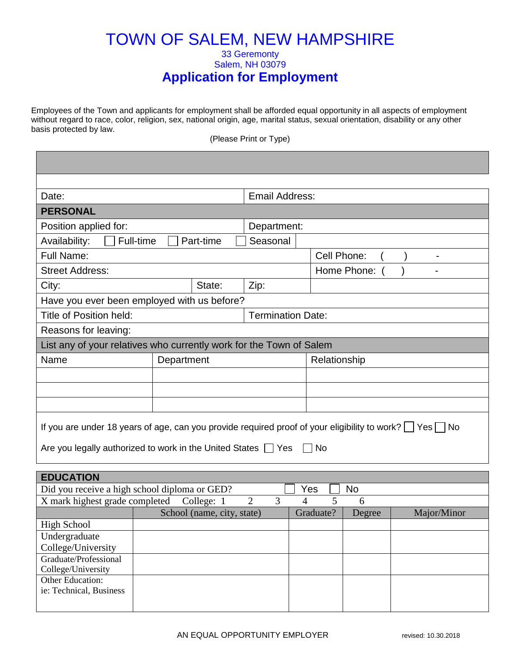## TOWN OF SALEM, NEW HAMPSHIRE 33 Geremonty Salem, NH 03079 **Application for Employment**

Employees of the Town and applicants for employment shall be afforded equal opportunity in all aspects of employment without regard to race, color, religion, sex, national origin, age, marital status, sexual orientation, disability or any other basis protected by law.

(Please Print or Type)

| Date:                                                                                                              |           |            |                            | Email Address: |                          |             |           |             |  |                |
|--------------------------------------------------------------------------------------------------------------------|-----------|------------|----------------------------|----------------|--------------------------|-------------|-----------|-------------|--|----------------|
| <b>PERSONAL</b>                                                                                                    |           |            |                            |                |                          |             |           |             |  |                |
| Position applied for:                                                                                              |           |            |                            |                | Department:              |             |           |             |  |                |
| Availability:                                                                                                      | Full-time |            | Part-time                  |                | Seasonal                 |             |           |             |  |                |
| <b>Full Name:</b>                                                                                                  |           |            |                            |                |                          | Cell Phone: |           |             |  |                |
| <b>Street Address:</b>                                                                                             |           |            |                            |                |                          |             |           | Home Phone: |  | $\blacksquare$ |
| City:                                                                                                              |           |            | State:                     | Zip:           |                          |             |           |             |  |                |
| Have you ever been employed with us before?                                                                        |           |            |                            |                |                          |             |           |             |  |                |
| Title of Position held:                                                                                            |           |            |                            |                | <b>Termination Date:</b> |             |           |             |  |                |
| Reasons for leaving:                                                                                               |           |            |                            |                |                          |             |           |             |  |                |
| List any of your relatives who currently work for the Town of Salem                                                |           |            |                            |                |                          |             |           |             |  |                |
| Name                                                                                                               |           | Department |                            |                | Relationship             |             |           |             |  |                |
|                                                                                                                    |           |            |                            |                |                          |             |           |             |  |                |
|                                                                                                                    |           |            |                            |                |                          |             |           |             |  |                |
|                                                                                                                    |           |            |                            |                |                          |             |           |             |  |                |
|                                                                                                                    |           |            |                            |                |                          |             |           |             |  |                |
| If you are under 18 years of age, can you provide required proof of your eligibility to work? $\Box$ Yes $\Box$ No |           |            |                            |                |                          |             |           |             |  |                |
|                                                                                                                    |           |            |                            |                |                          |             | $\Box$ No |             |  |                |
| Are you legally authorized to work in the United States T Yes                                                      |           |            |                            |                |                          |             |           |             |  |                |
| <b>EDUCATION</b>                                                                                                   |           |            |                            |                |                          |             |           |             |  |                |
| Did you receive a high school diploma or GED?                                                                      |           |            |                            |                |                          |             | Yes       | No          |  |                |
| $\overline{2}$<br>3<br>X mark highest grade completed<br>5<br>College: 1<br>6<br>4                                 |           |            |                            |                |                          |             |           |             |  |                |
|                                                                                                                    |           |            | School (name, city, state) |                |                          |             | Graduate? | Degree      |  | Major/Minor    |
| <b>High School</b>                                                                                                 |           |            |                            |                |                          |             |           |             |  |                |
| Undergraduate                                                                                                      |           |            |                            |                |                          |             |           |             |  |                |
| College/University                                                                                                 |           |            |                            |                |                          |             |           |             |  |                |
| Graduate/Professional                                                                                              |           |            |                            |                |                          |             |           |             |  |                |
| College/University<br>Other Education:                                                                             |           |            |                            |                |                          |             |           |             |  |                |
| ie: Technical, Business                                                                                            |           |            |                            |                |                          |             |           |             |  |                |
|                                                                                                                    |           |            |                            |                |                          |             |           |             |  |                |
|                                                                                                                    |           |            |                            |                |                          |             |           |             |  |                |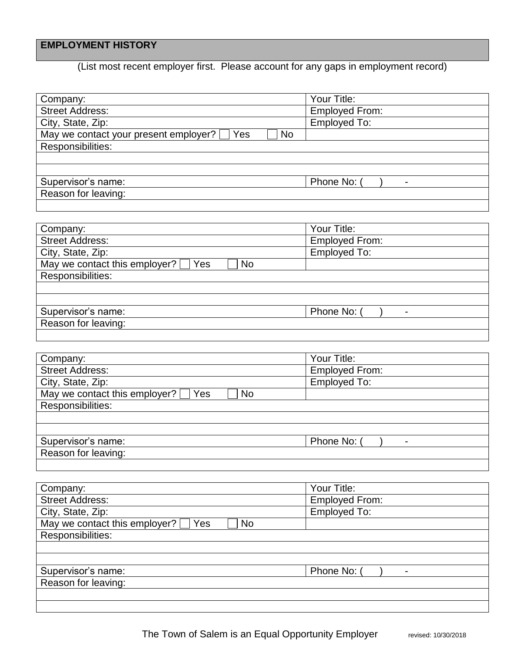## **EMPLOYMENT HISTORY**

(List most recent employer first. Please account for any gaps in employment record)

| Company:                                                  | Your Title:           |
|-----------------------------------------------------------|-----------------------|
| <b>Street Address:</b>                                    | <b>Employed From:</b> |
| City, State, Zip:                                         | <b>Employed To:</b>   |
| May we contact your present employer?<br><b>No</b><br>Yes |                       |
| Responsibilities:                                         |                       |
|                                                           |                       |
|                                                           |                       |
| Supervisor's name:                                        | Phone No: (           |
| Reason for leaving:                                       |                       |
|                                                           |                       |

| Company:                                   | Your Title:           |
|--------------------------------------------|-----------------------|
| <b>Street Address:</b>                     | <b>Employed From:</b> |
| City, State, Zip:                          | <b>Employed To:</b>   |
| May we contact this employer?<br>Yes<br>No |                       |
| Responsibilities:                          |                       |
|                                            |                       |
|                                            |                       |
| Supervisor's name:                         | Phone No:             |
| Reason for leaving:                        |                       |
|                                            |                       |

| Company:                                                 | Your Title:           |
|----------------------------------------------------------|-----------------------|
| <b>Street Address:</b>                                   | <b>Employed From:</b> |
| City, State, Zip:                                        | Employed To:          |
| May we contact this employer? $\Box$<br>Yes<br><b>No</b> |                       |
| Responsibilities:                                        |                       |
|                                                          |                       |
|                                                          |                       |
| Supervisor's name:                                       | Phone No:             |
| Reason for leaving:                                      |                       |
|                                                          |                       |

| Company:                                              | Your Title:                           |
|-------------------------------------------------------|---------------------------------------|
| <b>Street Address:</b>                                | <b>Employed From:</b>                 |
| City, State, Zip:                                     | <b>Employed To:</b>                   |
| May we contact this employer? $\Box$ Yes<br><b>No</b> |                                       |
| Responsibilities:                                     |                                       |
|                                                       |                                       |
|                                                       |                                       |
| Supervisor's name:                                    | Phone No:<br>$\overline{\phantom{0}}$ |
| Reason for leaving:                                   |                                       |
|                                                       |                                       |
|                                                       |                                       |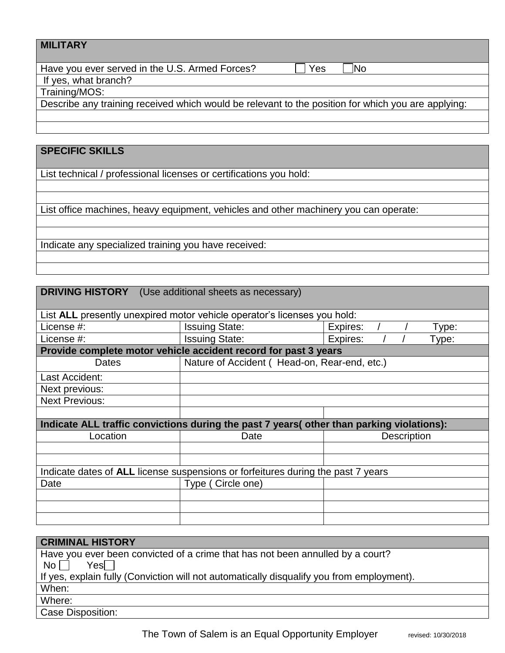| <b>MILITARY</b>                                                                                    |
|----------------------------------------------------------------------------------------------------|
| Have you ever served in the U.S. Armed Forces?<br><b>No</b><br>Yes                                 |
| If yes, what branch?                                                                               |
| Training/MOS:                                                                                      |
| Describe any training received which would be relevant to the position for which you are applying: |
|                                                                                                    |
|                                                                                                    |

# **SPECIFIC SKILLS**

List technical / professional licenses or certifications you hold:

List office machines, heavy equipment, vehicles and other machinery you can operate:

Indicate any specialized training you have received:

| <b>DRIVING HISTORY</b> (Use additional sheets as necessary)                               |                                                                 |                    |  |  |  |
|-------------------------------------------------------------------------------------------|-----------------------------------------------------------------|--------------------|--|--|--|
|                                                                                           |                                                                 |                    |  |  |  |
| List ALL presently unexpired motor vehicle operator's licenses you hold:                  |                                                                 |                    |  |  |  |
| License #:                                                                                | <b>Issuing State:</b>                                           | Expires:<br>Type:  |  |  |  |
| License #:                                                                                | <b>Issuing State:</b>                                           | Expires:<br>Type:  |  |  |  |
|                                                                                           | Provide complete motor vehicle accident record for past 3 years |                    |  |  |  |
| Dates                                                                                     | Nature of Accident (Head-on, Rear-end, etc.)                    |                    |  |  |  |
| Last Accident:                                                                            |                                                                 |                    |  |  |  |
| Next previous:                                                                            |                                                                 |                    |  |  |  |
| <b>Next Previous:</b>                                                                     |                                                                 |                    |  |  |  |
|                                                                                           |                                                                 |                    |  |  |  |
| Indicate ALL traffic convictions during the past 7 years (other than parking violations): |                                                                 |                    |  |  |  |
| Location                                                                                  | Date                                                            | <b>Description</b> |  |  |  |
|                                                                                           |                                                                 |                    |  |  |  |
|                                                                                           |                                                                 |                    |  |  |  |
| Indicate dates of ALL license suspensions or forfeitures during the past 7 years          |                                                                 |                    |  |  |  |
| Date                                                                                      | Type (Circle one)                                               |                    |  |  |  |
|                                                                                           |                                                                 |                    |  |  |  |
|                                                                                           |                                                                 |                    |  |  |  |
|                                                                                           |                                                                 |                    |  |  |  |
|                                                                                           |                                                                 |                    |  |  |  |

| <b>CRIMINAL HISTORY</b>                                                                   |
|-------------------------------------------------------------------------------------------|
| Have you ever been convicted of a crime that has not been annulled by a court?            |
| $Yes \Box$<br>No l                                                                        |
| If yes, explain fully (Conviction will not automatically disqualify you from employment). |
| When:                                                                                     |
| Where:                                                                                    |
| Case Disposition:                                                                         |